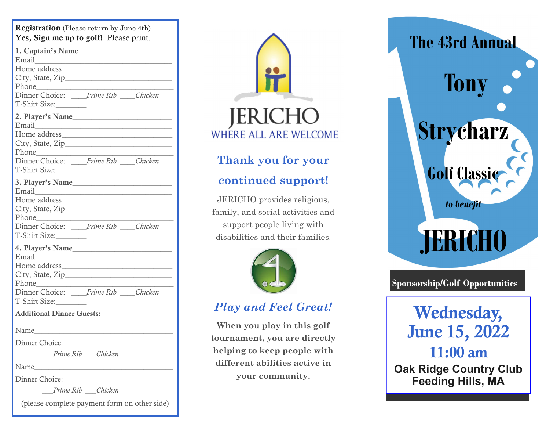| <b>Registration</b> (Please return by June 4th)<br>Yes, Sign me up to golf! Please print.                                                                                                                                                                |  |  |  |
|----------------------------------------------------------------------------------------------------------------------------------------------------------------------------------------------------------------------------------------------------------|--|--|--|
| 1. Captain's Name<br>Email <u>Denverse and the service</u> and the service of the service of the service of the service of the service of the service of the service of the service of the service of the service of the service of the service of the s |  |  |  |
| Dinner Choice: _____Prime Rib ____Chicken<br>T-Shirt Size:                                                                                                                                                                                               |  |  |  |
| Dinner Choice: _____Prime Rib ____Chicken                                                                                                                                                                                                                |  |  |  |
| T-Shirt Size:                                                                                                                                                                                                                                            |  |  |  |
|                                                                                                                                                                                                                                                          |  |  |  |
| Dinner Choice: _____Prime Rib ____Chicken<br>T-Shirt Size:                                                                                                                                                                                               |  |  |  |
|                                                                                                                                                                                                                                                          |  |  |  |
| Dinner Choice: ____Prime Rib ____Chicken<br>T-Shirt Size:                                                                                                                                                                                                |  |  |  |
| <b>Additional Dinner Guests:</b>                                                                                                                                                                                                                         |  |  |  |
| Name                                                                                                                                                                                                                                                     |  |  |  |
| Dinner Choice:                                                                                                                                                                                                                                           |  |  |  |
| Prime Rib Chicken                                                                                                                                                                                                                                        |  |  |  |
|                                                                                                                                                                                                                                                          |  |  |  |
| Dinner Choice:                                                                                                                                                                                                                                           |  |  |  |
| Prime Rib Chicken                                                                                                                                                                                                                                        |  |  |  |
| (please complete payment form on other side)                                                                                                                                                                                                             |  |  |  |



## **Thank you for your continued support!**

JERICHO provides religious, family, and social activities and support people living with disabilities and their families.



## *Play and Feel Great!*

**When you play in this golf tournament, you are directly helping to keep people with different abilities active in your community.** 



## **Sponsorship/Golf Opportunities**

Wednesday, June 15, 2022 11:00 am **Oak Ridge Country Club Feeding Hills, MA**